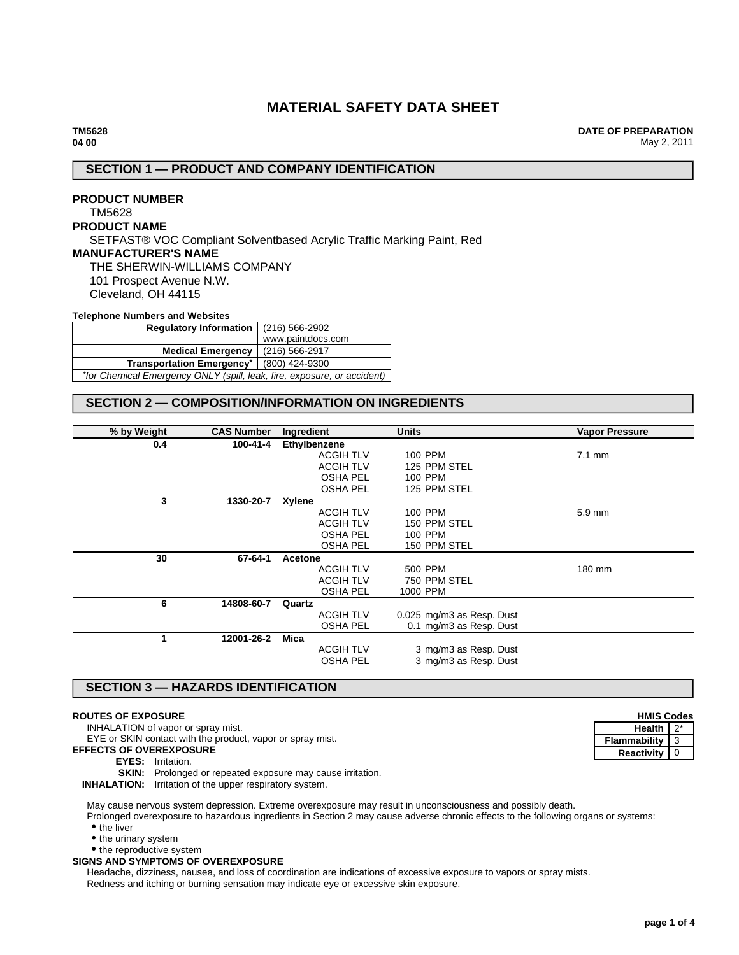# **MATERIAL SAFETY DATA SHEET**

**DATE OF PREPARATION** May 2, 2011

# **SECTION 1 — PRODUCT AND COMPANY IDENTIFICATION**

## **PRODUCT NUMBER** TM5628 **PRODUCT NAME** SETFAST® VOC Compliant Solventbased Acrylic Traffic Marking Paint, Red **MANUFACTURER'S NAME** THE SHERWIN-WILLIAMS COMPANY 101 Prospect Avenue N.W. Cleveland, OH 44115

### **Telephone Numbers and Websites**

| Regulatory Information   (216) 566-2902                                 |                   |  |  |
|-------------------------------------------------------------------------|-------------------|--|--|
|                                                                         | www.paintdocs.com |  |  |
| <b>Medical Emergency</b> (216) 566-2917                                 |                   |  |  |
| Transportation Emergency <sup>*</sup>   (800) 424-9300                  |                   |  |  |
| *for Chemical Emergency ONLY (spill, leak, fire, exposure, or accident) |                   |  |  |

## **SECTION 2 — COMPOSITION/INFORMATION ON INGREDIENTS**

| % by Weight | <b>CAS Number</b> | Ingredient       | <b>Units</b>              | <b>Vapor Pressure</b> |
|-------------|-------------------|------------------|---------------------------|-----------------------|
| 0.4         | 100-41-4          | Ethylbenzene     |                           |                       |
|             |                   | <b>ACGIH TLV</b> | <b>100 PPM</b>            | $7.1 \text{ mm}$      |
|             |                   | <b>ACGIH TLV</b> | 125 PPM STEL              |                       |
|             |                   | <b>OSHA PEL</b>  | 100 PPM                   |                       |
|             |                   | OSHA PEL         | 125 PPM STEL              |                       |
| 3           | 1330-20-7         | Xylene           |                           |                       |
|             |                   | <b>ACGIH TLV</b> | 100 PPM                   | 5.9 mm                |
|             |                   | <b>ACGIH TLV</b> | 150 PPM STEL              |                       |
|             |                   | <b>OSHA PEL</b>  | 100 PPM                   |                       |
|             |                   | <b>OSHA PEL</b>  | 150 PPM STEL              |                       |
| 30          | 67-64-1           | Acetone          |                           |                       |
|             |                   | <b>ACGIH TLV</b> | 500 PPM                   | 180 mm                |
|             |                   | <b>ACGIH TLV</b> | 750 PPM STEL              |                       |
|             |                   | <b>OSHA PEL</b>  | 1000 PPM                  |                       |
| 6           | 14808-60-7        | Quartz           |                           |                       |
|             |                   | <b>ACGIH TLV</b> | 0.025 mg/m3 as Resp. Dust |                       |
|             |                   | <b>OSHA PEL</b>  | 0.1 mg/m3 as Resp. Dust   |                       |
| 1           | 12001-26-2        | Mica             |                           |                       |
|             |                   | <b>ACGIH TLV</b> | 3 mg/m3 as Resp. Dust     |                       |
|             |                   | <b>OSHA PEL</b>  | 3 mg/m3 as Resp. Dust     |                       |
|             |                   |                  |                           |                       |

# **SECTION 3 — HAZARDS IDENTIFICATION**

#### **ROUTES OF EXPOSURE**

INHALATION of vapor or spray mist.

EYE or SKIN contact with the product, vapor or spray mist.

- **EFFECTS OF OVEREXPOSURE**
	- **EYES:** Irritation.

**SKIN:** Prolonged or repeated exposure may cause irritation.

**INHALATION:** Irritation of the upper respiratory system.

May cause nervous system depression. Extreme overexposure may result in unconsciousness and possibly death.

Prolonged overexposure to hazardous ingredients in Section 2 may cause adverse chronic effects to the following organs or systems: • the liver

 $\bullet$  the urinary system

• the reproductive system

**SIGNS AND SYMPTOMS OF OVEREXPOSURE**

Headache, dizziness, nausea, and loss of coordination are indications of excessive exposure to vapors or spray mists. Redness and itching or burning sensation may indicate eye or excessive skin exposure.

| <b>HMIS Codes</b> |  |
|-------------------|--|
| Health            |  |
| Flammability      |  |
| <b>Reactivity</b> |  |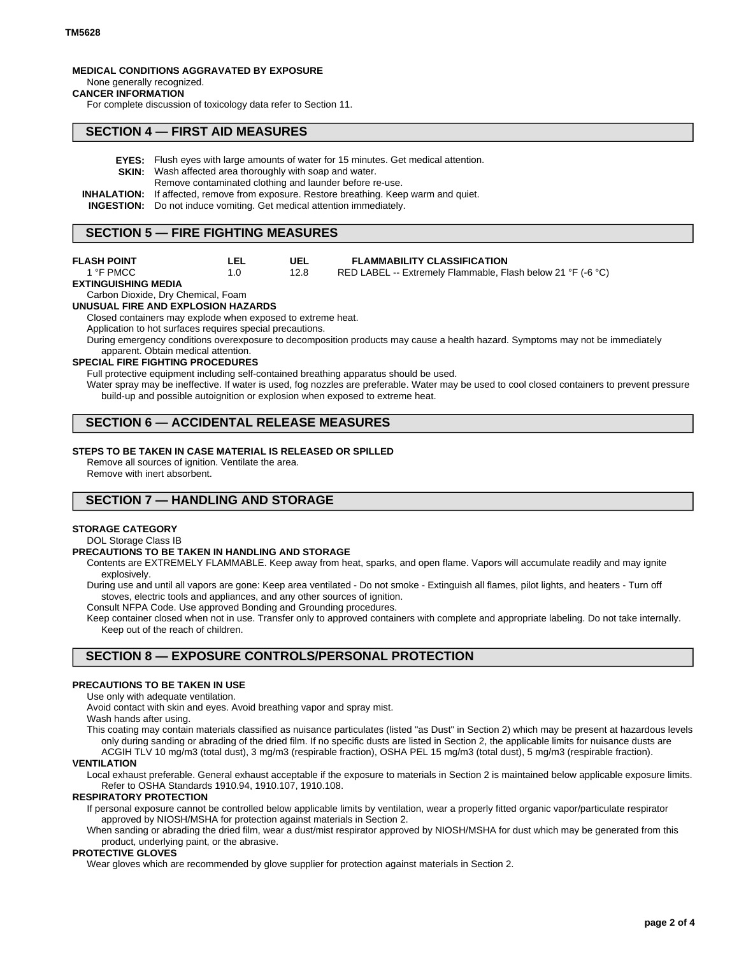# **MEDICAL CONDITIONS AGGRAVATED BY EXPOSURE**

#### None generally recognized. **CANCER INFORMATION**

For complete discussion of toxicology data refer to Section 11.

### **SECTION 4 — FIRST AID MEASURES**

- **EYES:** Flush eyes with large amounts of water for 15 minutes. Get medical attention.
- **SKIN:** Wash affected area thoroughly with soap and water.
- Remove contaminated clothing and launder before re-use.
- **INHALATION:** If affected, remove from exposure. Restore breathing. Keep warm and quiet.

**UEL** 12.8

**INGESTION:** Do not induce vomiting. Get medical attention immediately.

### **SECTION 5 — FIRE FIGHTING MEASURES**

| <b>FLASH POINT</b> | LEL |
|--------------------|-----|
| 1 °F PMCC          | 1.0 |

**FLAMMABILITY CLASSIFICATION**

RED LABEL -- Extremely Flammable, Flash below 21 °F (-6 °C)

**EXTINGUISHING MEDIA**

#### Carbon Dioxide, Dry Chemical, Foam **UNUSUAL FIRE AND EXPLOSION HAZARDS**

Closed containers may explode when exposed to extreme heat.

Application to hot surfaces requires special precautions.

During emergency conditions overexposure to decomposition products may cause a health hazard. Symptoms may not be immediately apparent. Obtain medical attention.

#### **SPECIAL FIRE FIGHTING PROCEDURES**

Full protective equipment including self-contained breathing apparatus should be used.

Water spray may be ineffective. If water is used, fog nozzles are preferable. Water may be used to cool closed containers to prevent pressure build-up and possible autoignition or explosion when exposed to extreme heat.

## **SECTION 6 — ACCIDENTAL RELEASE MEASURES**

### **STEPS TO BE TAKEN IN CASE MATERIAL IS RELEASED OR SPILLED**

Remove all sources of ignition. Ventilate the area. Remove with inert absorbent.

## **SECTION 7 — HANDLING AND STORAGE**

### **STORAGE CATEGORY**

DOL Storage Class IB

### **PRECAUTIONS TO BE TAKEN IN HANDLING AND STORAGE**

Contents are EXTREMELY FLAMMABLE. Keep away from heat, sparks, and open flame. Vapors will accumulate readily and may ignite explosively.

During use and until all vapors are gone: Keep area ventilated - Do not smoke - Extinguish all flames, pilot lights, and heaters - Turn off stoves, electric tools and appliances, and any other sources of ignition.

Consult NFPA Code. Use approved Bonding and Grounding procedures.

Keep container closed when not in use. Transfer only to approved containers with complete and appropriate labeling. Do not take internally. Keep out of the reach of children.

## **SECTION 8 — EXPOSURE CONTROLS/PERSONAL PROTECTION**

#### **PRECAUTIONS TO BE TAKEN IN USE**

Use only with adequate ventilation.

Avoid contact with skin and eyes. Avoid breathing vapor and spray mist.

Wash hands after using.

This coating may contain materials classified as nuisance particulates (listed "as Dust" in Section 2) which may be present at hazardous levels only during sanding or abrading of the dried film. If no specific dusts are listed in Section 2, the applicable limits for nuisance dusts are ACGIH TLV 10 mg/m3 (total dust), 3 mg/m3 (respirable fraction), OSHA PEL 15 mg/m3 (total dust), 5 mg/m3 (respirable fraction).

#### **VENTILATION**

Local exhaust preferable. General exhaust acceptable if the exposure to materials in Section 2 is maintained below applicable exposure limits. Refer to OSHA Standards 1910.94, 1910.107, 1910.108.

### **RESPIRATORY PROTECTION**

If personal exposure cannot be controlled below applicable limits by ventilation, wear a properly fitted organic vapor/particulate respirator approved by NIOSH/MSHA for protection against materials in Section 2.

When sanding or abrading the dried film, wear a dust/mist respirator approved by NIOSH/MSHA for dust which may be generated from this product, underlying paint, or the abrasive.

### **PROTECTIVE GLOVES**

Wear gloves which are recommended by glove supplier for protection against materials in Section 2.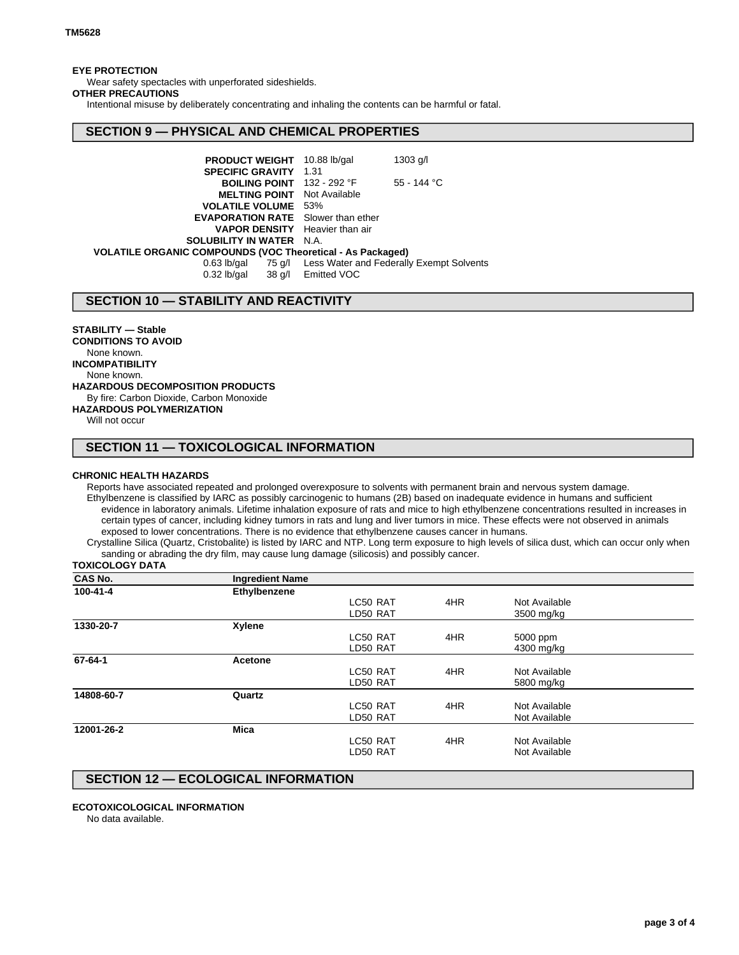### **EYE PROTECTION**

Wear safety spectacles with unperforated sideshields.

## **OTHER PRECAUTIONS**

Intentional misuse by deliberately concentrating and inhaling the contents can be harmful or fatal.

## **SECTION 9 — PHYSICAL AND CHEMICAL PROPERTIES**

| <b>PRODUCT WEIGHT</b> 10.88 lb/gal                                |  | $1303$ g/l                                                  |
|-------------------------------------------------------------------|--|-------------------------------------------------------------|
| <b>SPECIFIC GRAVITY 1.31</b>                                      |  |                                                             |
| <b>BOILING POINT</b> 132 - 292 °F                                 |  | 55 - 144 °C                                                 |
| <b>MELTING POINT</b> Not Available                                |  |                                                             |
| <b>VOLATILE VOLUME 53%</b>                                        |  |                                                             |
| <b>EVAPORATION RATE</b> Slower than ether                         |  |                                                             |
| <b>VAPOR DENSITY</b> Heavier than air                             |  |                                                             |
| <b>SOLUBILITY IN WATER N.A.</b>                                   |  |                                                             |
| <b>VOLATILE ORGANIC COMPOUNDS (VOC Theoretical - As Packaged)</b> |  |                                                             |
|                                                                   |  | 0.63 lb/gal 75 g/l Less Water and Federally Exempt Solvents |
| 0.32 lb/gal 38 g/l Emitted VOC                                    |  |                                                             |

## **SECTION 10 — STABILITY AND REACTIVITY**

### **STABILITY — Stable**

**CONDITIONS TO AVOID** None known. **INCOMPATIBILITY** None known. **HAZARDOUS DECOMPOSITION PRODUCTS** By fire: Carbon Dioxide, Carbon Monoxide **HAZARDOUS POLYMERIZATION** Will not occur

## **SECTION 11 — TOXICOLOGICAL INFORMATION**

#### **CHRONIC HEALTH HAZARDS**

Reports have associated repeated and prolonged overexposure to solvents with permanent brain and nervous system damage. Ethylbenzene is classified by IARC as possibly carcinogenic to humans (2B) based on inadequate evidence in humans and sufficient evidence in laboratory animals. Lifetime inhalation exposure of rats and mice to high ethylbenzene concentrations resulted in increases in certain types of cancer, including kidney tumors in rats and lung and liver tumors in mice. These effects were not observed in animals exposed to lower concentrations. There is no evidence that ethylbenzene causes cancer in humans.

Crystalline Silica (Quartz, Cristobalite) is listed by IARC and NTP. Long term exposure to high levels of silica dust, which can occur only when sanding or abrading the dry film, may cause lung damage (silicosis) and possibly cancer.

### **TOXICOLOGY DATA**

| <b>CAS No.</b> | <b>Ingredient Name</b> |          |     |               |  |
|----------------|------------------------|----------|-----|---------------|--|
| 100-41-4       | Ethylbenzene           |          |     |               |  |
|                |                        | LC50 RAT | 4HR | Not Available |  |
|                |                        | LD50 RAT |     | 3500 mg/kg    |  |
| 1330-20-7      | <b>Xylene</b>          |          |     |               |  |
|                |                        | LC50 RAT | 4HR | 5000 ppm      |  |
|                |                        | LD50 RAT |     | 4300 mg/kg    |  |
| 67-64-1        | Acetone                |          |     |               |  |
|                |                        | LC50 RAT | 4HR | Not Available |  |
|                |                        | LD50 RAT |     | 5800 mg/kg    |  |
| 14808-60-7     | Quartz                 |          |     |               |  |
|                |                        | LC50 RAT | 4HR | Not Available |  |
|                |                        | LD50 RAT |     | Not Available |  |
| 12001-26-2     | <b>Mica</b>            |          |     |               |  |
|                |                        | LC50 RAT | 4HR | Not Available |  |
|                |                        | LD50 RAT |     | Not Available |  |
|                |                        |          |     |               |  |

## **SECTION 12 — ECOLOGICAL INFORMATION**

#### **ECOTOXICOLOGICAL INFORMATION**

No data available.